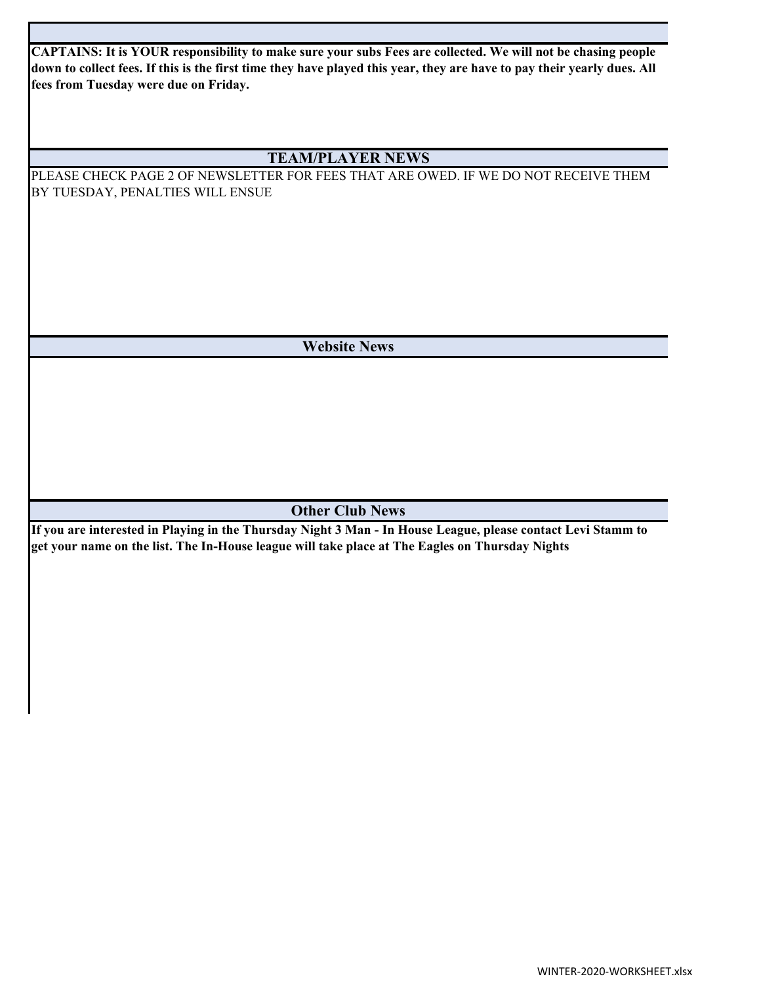**CAPTAINS: It is YOUR responsibility to make sure your subs Fees are collected. We will not be chasing people down to collect fees. If this is the first time they have played this year, they are have to pay their yearly dues. All fees from Tuesday were due on Friday.** 

## **TEAM/PLAYER NEWS**

PLEASE CHECK PAGE 2 OF NEWSLETTER FOR FEES THAT ARE OWED. IF WE DO NOT RECEIVE THEM BY TUESDAY, PENALTIES WILL ENSUE

**Website News**

**Other Club News**

**If you are interested in Playing in the Thursday Night 3 Man - In House League, please contact Levi Stamm to get your name on the list. The In-House league will take place at The Eagles on Thursday Nights**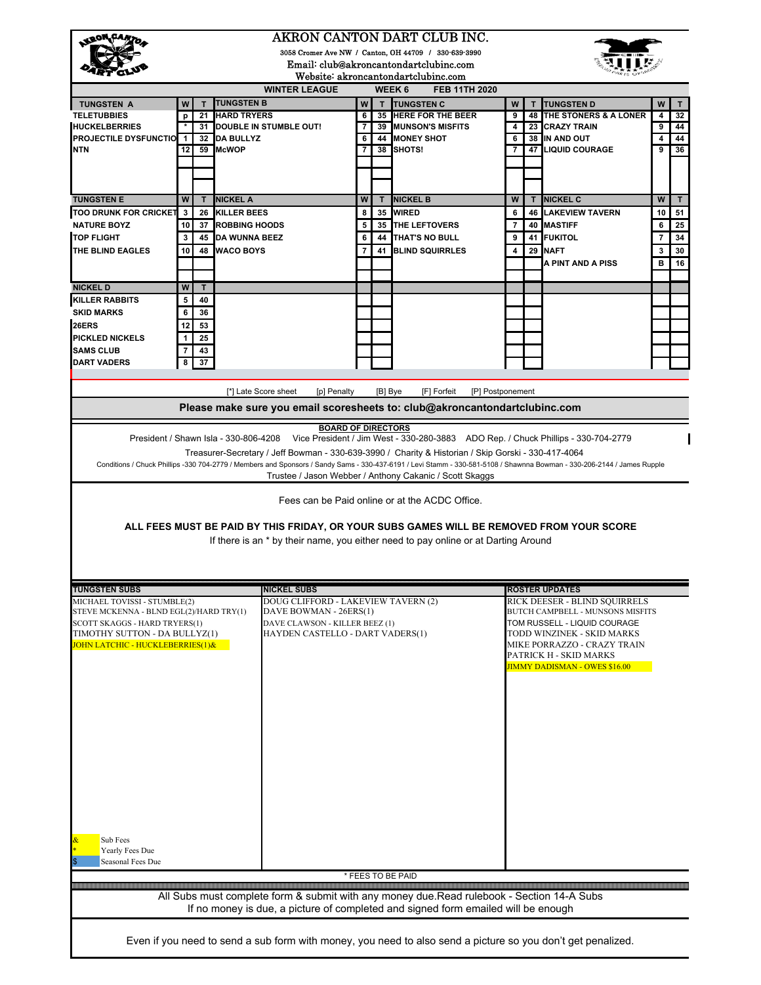|                                                                                                                                                                                | AKRON CANTON DART CLUB INC.                                                                                 |          |                                  |                                                               |                |         |                                                                                                                                                                                |                |    |                                                                   |        |          |  |
|--------------------------------------------------------------------------------------------------------------------------------------------------------------------------------|-------------------------------------------------------------------------------------------------------------|----------|----------------------------------|---------------------------------------------------------------|----------------|---------|--------------------------------------------------------------------------------------------------------------------------------------------------------------------------------|----------------|----|-------------------------------------------------------------------|--------|----------|--|
|                                                                                                                                                                                | 3058 Cromer Ave NW / Canton, OH 44709 / 330-639-3990                                                        |          |                                  |                                                               |                |         |                                                                                                                                                                                |                |    |                                                                   |        |          |  |
| Email: club@akroncantondartclubinc.com<br>Website: akroncantondartclubinc.com                                                                                                  |                                                                                                             |          |                                  |                                                               |                |         |                                                                                                                                                                                |                |    |                                                                   |        |          |  |
| WEEK <sub>6</sub><br><b>WINTER LEAGUE</b><br>FEB 11TH 2020                                                                                                                     |                                                                                                             |          |                                  |                                                               |                |         |                                                                                                                                                                                |                |    |                                                                   |        |          |  |
| <b>TUNGSTEN A</b>                                                                                                                                                              | W                                                                                                           | T        | <b>TUNGSTEN B</b>                |                                                               | W              | T       | <b>TUNGSTEN C</b>                                                                                                                                                              | W              |    | <b>TUNGSTEN D</b>                                                 | W      |          |  |
| <b>TELETUBBIES</b>                                                                                                                                                             | p                                                                                                           | 21       | <b>HARD TRYERS</b>               |                                                               | 6              | 35      | <b>HERE FOR THE BEER</b>                                                                                                                                                       | 9              | 48 | THE STONERS & A LONER                                             | 4      | 32       |  |
| <b>HUCKELBERRIES</b>                                                                                                                                                           |                                                                                                             |          |                                  | 31 DOUBLE IN STUMBLE OUT!                                     | $\overline{7}$ | 39      | <b>MUNSON'S MISFITS</b>                                                                                                                                                        | 4              | 23 | <b>CRAZY TRAIN</b>                                                | 9      | 44       |  |
| <b>PROJECTILE DYSFUNCTION 1</b><br><b>NTN</b>                                                                                                                                  | 12                                                                                                          |          | 32 DA BULLYZ<br>59 McWOP         |                                                               | 6              | 38      | <b>44 MONEY SHOT</b><br>SHOTS!                                                                                                                                                 | 6<br>7         | 47 | 38 IN AND OUT<br><b>LIQUID COURAGE</b>                            | 4<br>9 | 44<br>36 |  |
|                                                                                                                                                                                |                                                                                                             |          |                                  |                                                               |                |         |                                                                                                                                                                                |                |    |                                                                   |        |          |  |
|                                                                                                                                                                                |                                                                                                             |          |                                  |                                                               |                |         |                                                                                                                                                                                |                |    |                                                                   |        |          |  |
|                                                                                                                                                                                |                                                                                                             |          |                                  |                                                               |                |         |                                                                                                                                                                                |                |    |                                                                   |        |          |  |
| <b>TUNGSTEN E</b>                                                                                                                                                              | W                                                                                                           | T        | <b>NICKEL A</b>                  |                                                               | W              | Т       | <b>NICKEL B</b>                                                                                                                                                                | W              | т  | <b>NICKEL C</b>                                                   | W      | т        |  |
| TOO DRUNK FOR CRICKET 3                                                                                                                                                        |                                                                                                             |          | 26 KILLER BEES                   |                                                               | 8              | 35      | <b>IWIRED</b>                                                                                                                                                                  | 6              |    | <b>46 LAKEVIEW TAVERN</b>                                         | 10     | 51       |  |
| <b>NATURE BOYZ</b><br><b>TOP FLIGHT</b>                                                                                                                                        | 10                                                                                                          | 37       | <b>ROBBING HOODS</b>             |                                                               | 5              | 35      | <b>THE LEFTOVERS</b>                                                                                                                                                           | $\overline{7}$ | 40 | <b>MASTIFF</b>                                                    | 6      | 25<br>34 |  |
| <b>THE BLIND EAGLES</b>                                                                                                                                                        | 3<br>10                                                                                                     |          | 45 DA WUNNA BEEZ<br>48 WACO BOYS |                                                               | 6              |         | <b>44 THAT'S NO BULL</b><br>41 BLIND SQUIRRLES                                                                                                                                 | 9<br>4         | 29 | 41 FUKITOL<br><b>NAFT</b>                                         | 7<br>3 | 30       |  |
|                                                                                                                                                                                |                                                                                                             |          |                                  |                                                               |                |         |                                                                                                                                                                                |                |    | A PINT AND A PISS                                                 | в      | 16       |  |
|                                                                                                                                                                                |                                                                                                             |          |                                  |                                                               |                |         |                                                                                                                                                                                |                |    |                                                                   |        |          |  |
| <b>NICKEL D</b>                                                                                                                                                                | W                                                                                                           | т        |                                  |                                                               |                |         |                                                                                                                                                                                |                |    |                                                                   |        |          |  |
| <b>KILLER RABBITS</b>                                                                                                                                                          | 5                                                                                                           | 40       |                                  |                                                               |                |         |                                                                                                                                                                                |                |    |                                                                   |        |          |  |
| <b>SKID MARKS</b>                                                                                                                                                              | 6                                                                                                           | 36       |                                  |                                                               |                |         |                                                                                                                                                                                |                |    |                                                                   |        |          |  |
| 26ERS<br><b>PICKLED NICKELS</b>                                                                                                                                                | 12                                                                                                          | 53<br>25 |                                  |                                                               |                |         |                                                                                                                                                                                |                |    |                                                                   |        |          |  |
| <b>SAMS CLUB</b>                                                                                                                                                               |                                                                                                             | 43       |                                  |                                                               |                |         |                                                                                                                                                                                |                |    |                                                                   |        |          |  |
| <b>DART VADERS</b>                                                                                                                                                             | 8                                                                                                           | 37       |                                  |                                                               |                |         |                                                                                                                                                                                |                |    |                                                                   |        |          |  |
|                                                                                                                                                                                |                                                                                                             |          |                                  |                                                               |                |         |                                                                                                                                                                                |                |    |                                                                   |        |          |  |
|                                                                                                                                                                                |                                                                                                             |          | [*] Late Score sheet             | [p] Penalty                                                   |                | [B] Bye | [F] Forfeit<br>[P] Postponement                                                                                                                                                |                |    |                                                                   |        |          |  |
|                                                                                                                                                                                |                                                                                                             |          |                                  |                                                               |                |         | Please make sure you email scoresheets to: club@akroncantondartclubinc.com                                                                                                     |                |    |                                                                   |        |          |  |
|                                                                                                                                                                                |                                                                                                             |          |                                  |                                                               |                |         |                                                                                                                                                                                |                |    |                                                                   |        |          |  |
|                                                                                                                                                                                |                                                                                                             |          |                                  | <b>BOARD OF DIRECTORS</b>                                     |                |         | President / Shawn Isla - 330-806-4208 Vice President / Jim West - 330-280-3883 ADO Rep. / Chuck Phillips - 330-704-2779                                                        |                |    |                                                                   |        |          |  |
|                                                                                                                                                                                |                                                                                                             |          |                                  |                                                               |                |         | Treasurer-Secretary / Jeff Bowman - 330-639-3990 / Charity & Historian / Skip Gorski - 330-417-4064                                                                            |                |    |                                                                   |        |          |  |
|                                                                                                                                                                                |                                                                                                             |          |                                  |                                                               |                |         | Conditions / Chuck Phillips -330 704-2779 / Members and Sponsors / Sandy Sams - 330-437-6191 / Levi Stamm - 330-581-5108 / Shawnna Bowman - 330-206-2144 / James Rupple        |                |    |                                                                   |        |          |  |
|                                                                                                                                                                                |                                                                                                             |          |                                  |                                                               |                |         | Trustee / Jason Webber / Anthony Cakanic / Scott Skaggs                                                                                                                        |                |    |                                                                   |        |          |  |
|                                                                                                                                                                                |                                                                                                             |          |                                  |                                                               |                |         |                                                                                                                                                                                |                |    |                                                                   |        |          |  |
| Fees can be Paid online or at the ACDC Office.                                                                                                                                 |                                                                                                             |          |                                  |                                                               |                |         |                                                                                                                                                                                |                |    |                                                                   |        |          |  |
|                                                                                                                                                                                |                                                                                                             |          |                                  |                                                               |                |         |                                                                                                                                                                                |                |    |                                                                   |        |          |  |
| ALL FEES MUST BE PAID BY THIS FRIDAY, OR YOUR SUBS GAMES WILL BE REMOVED FROM YOUR SCORE<br>If there is an * by their name, you either need to pay online or at Darting Around |                                                                                                             |          |                                  |                                                               |                |         |                                                                                                                                                                                |                |    |                                                                   |        |          |  |
|                                                                                                                                                                                |                                                                                                             |          |                                  |                                                               |                |         |                                                                                                                                                                                |                |    |                                                                   |        |          |  |
|                                                                                                                                                                                |                                                                                                             |          |                                  |                                                               |                |         |                                                                                                                                                                                |                |    |                                                                   |        |          |  |
|                                                                                                                                                                                |                                                                                                             |          |                                  |                                                               |                |         |                                                                                                                                                                                |                |    |                                                                   |        |          |  |
| <b>TUNGSTEN SUBS</b>                                                                                                                                                           |                                                                                                             |          |                                  | <b>NICKEL SUBS</b>                                            |                |         |                                                                                                                                                                                |                |    | <b>ROSTER UPDATES</b>                                             |        |          |  |
| MICHAEL TOVISSI - STUMBLE(2)<br>STEVE MCKENNA - BLND EGL(2)/HARD TRY(1)                                                                                                        |                                                                                                             |          |                                  | DOUG CLIFFORD - LAKEVIEW TAVERN (2)<br>DAVE BOWMAN - 26ERS(1) |                |         |                                                                                                                                                                                |                |    | RICK DEESER - BLIND SQUIRRELS<br>BUTCH CAMPBELL - MUNSONS MISFITS |        |          |  |
| SCOTT SKAGGS - HARD TRYERS(1)                                                                                                                                                  |                                                                                                             |          |                                  | DAVE CLAWSON - KILLER BEEZ (1)                                |                |         |                                                                                                                                                                                |                |    | TOM RUSSELL - LIQUID COURAGE                                      |        |          |  |
| TIMOTHY SUTTON - DA BULLYZ(1)                                                                                                                                                  |                                                                                                             |          |                                  | HAYDEN CASTELLO - DART VADERS(1)                              |                |         |                                                                                                                                                                                |                |    | TODD WINZINEK - SKID MARKS                                        |        |          |  |
| JOHN LATCHIC - HUCKLEBERRIES(1)&                                                                                                                                               |                                                                                                             |          |                                  |                                                               |                |         |                                                                                                                                                                                |                |    | MIKE PORRAZZO - CRAZY TRAIN<br>PATRICK H - SKID MARKS             |        |          |  |
|                                                                                                                                                                                |                                                                                                             |          |                                  |                                                               |                |         | <b>JIMMY DADISMAN - OWES \$16.00</b>                                                                                                                                           |                |    |                                                                   |        |          |  |
|                                                                                                                                                                                |                                                                                                             |          |                                  |                                                               |                |         |                                                                                                                                                                                |                |    |                                                                   |        |          |  |
|                                                                                                                                                                                |                                                                                                             |          |                                  |                                                               |                |         |                                                                                                                                                                                |                |    |                                                                   |        |          |  |
|                                                                                                                                                                                |                                                                                                             |          |                                  |                                                               |                |         |                                                                                                                                                                                |                |    |                                                                   |        |          |  |
|                                                                                                                                                                                |                                                                                                             |          |                                  |                                                               |                |         |                                                                                                                                                                                |                |    |                                                                   |        |          |  |
|                                                                                                                                                                                |                                                                                                             |          |                                  |                                                               |                |         |                                                                                                                                                                                |                |    |                                                                   |        |          |  |
|                                                                                                                                                                                |                                                                                                             |          |                                  |                                                               |                |         |                                                                                                                                                                                |                |    |                                                                   |        |          |  |
|                                                                                                                                                                                |                                                                                                             |          |                                  |                                                               |                |         |                                                                                                                                                                                |                |    |                                                                   |        |          |  |
|                                                                                                                                                                                |                                                                                                             |          |                                  |                                                               |                |         |                                                                                                                                                                                |                |    |                                                                   |        |          |  |
|                                                                                                                                                                                |                                                                                                             |          |                                  |                                                               |                |         |                                                                                                                                                                                |                |    |                                                                   |        |          |  |
|                                                                                                                                                                                |                                                                                                             |          |                                  |                                                               |                |         |                                                                                                                                                                                |                |    |                                                                   |        |          |  |
|                                                                                                                                                                                |                                                                                                             |          |                                  |                                                               |                |         |                                                                                                                                                                                |                |    |                                                                   |        |          |  |
|                                                                                                                                                                                |                                                                                                             |          |                                  |                                                               |                |         |                                                                                                                                                                                |                |    |                                                                   |        |          |  |
| Sub Fees<br>Yearly Fees Due                                                                                                                                                    |                                                                                                             |          |                                  |                                                               |                |         |                                                                                                                                                                                |                |    |                                                                   |        |          |  |
| Seasonal Fees Due                                                                                                                                                              |                                                                                                             |          |                                  |                                                               |                |         |                                                                                                                                                                                |                |    |                                                                   |        |          |  |
| * FEES TO BE PAID                                                                                                                                                              |                                                                                                             |          |                                  |                                                               |                |         |                                                                                                                                                                                |                |    |                                                                   |        |          |  |
|                                                                                                                                                                                |                                                                                                             |          |                                  |                                                               |                |         |                                                                                                                                                                                |                |    |                                                                   |        |          |  |
|                                                                                                                                                                                |                                                                                                             |          |                                  |                                                               |                |         | All Subs must complete form & submit with any money due.Read rulebook - Section 14-A Subs<br>If no money is due, a picture of completed and signed form emailed will be enough |                |    |                                                                   |        |          |  |
|                                                                                                                                                                                | Even if you need to send a sub form with money, you need to also send a picture so you don't get penalized. |          |                                  |                                                               |                |         |                                                                                                                                                                                |                |    |                                                                   |        |          |  |